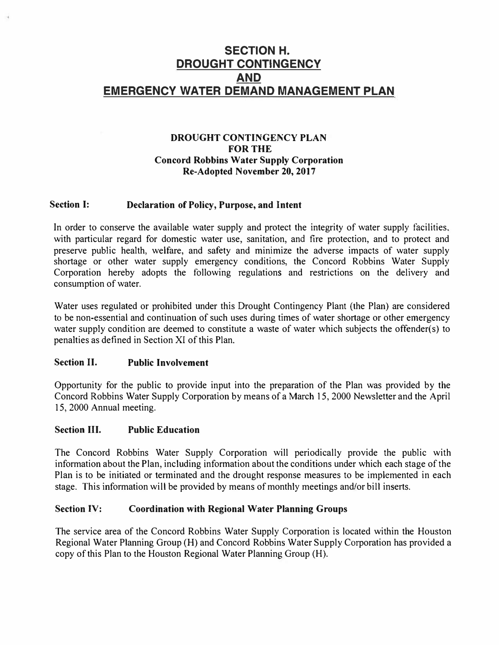# **SECTION H. DROUGHT CONTINGENCY AND** -- **EMERGENCY WATER DEMAND MANAGEMENT PLAN**

## **DROUGHT CONTINGENCY PLAN FOR THE Concord Robbins Water Supply Corporation Re-Adopted November 20, 2017**

#### **Section I: Declaration of Policy, Purpose, and Intent**

In order to conserve the available water supply and protect the integrity of water supply facilities. with particular regard for domestic water use, sanitation, and fire protection, and to protect and preserve public health, welfare, and safety and minimize the adverse impacts of water supply shortage or other water supply emergency conditions, the Concord Robbins Water Supply Corporation hereby adopts the following regulations and restrictions on the delivery and consumption of water.

Water uses regulated or prohibited under this Drought Contingency Plant (the Plan) are considered to be non-essential and continuation of such uses during times of water shortage or other emergency water supply condition are deemed to constitute a waste of water which subjects the offender(s) to penalties as defined in Section XI of this Plan.

#### **Section II. Public Involvement**

Opportunity for the public to provide input into the preparation of the Plan was provided by the Concord Robbins Water Supply Corporation by means of a March 15, 2000 Newsletter and the April 15, 2000 Annual meeting.

#### **Section III. Public Education**

The Concord Robbins Water Supply Corporation will periodically provide the public with information about the Plan, including information about the conditions under which each stage of the Plan is to be initiated or terminated and the drought response measures to be implemented in each stage. This information will be provided by means of monthly meetings and/or bill inserts.

## **Section IV: Coordination with Regional Water Planning Groups**

The service area of the Concord Robbins Water Supply Corporation is located within the Houston Regional Water Planning Group (H) and Concord Robbins Water Supply Corporation has provided a copy of this Plan to the Houston Regional Water Planning Group (H).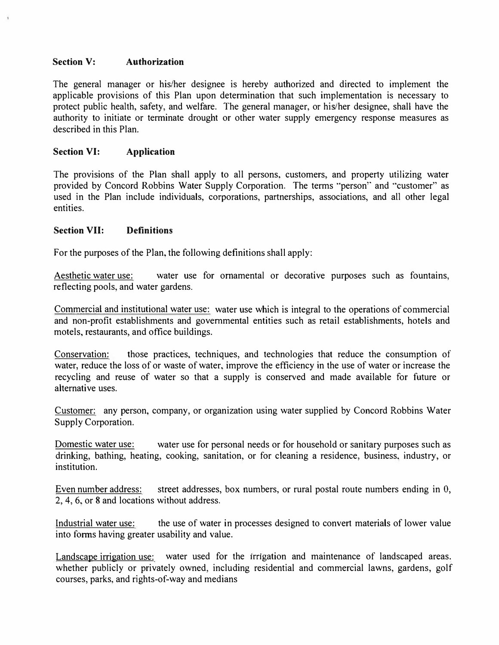## **Section V: Authorization**

The general manager or his/her designee is hereby authorized and directed to implement the applicable provisions of this Plan upon determination that such implementation is necessary to protect public health, safety, and welfare. The general manager, or his/her designee, shall have the authority to initiate or terminate drought or other water supply emergency response measures as described in this Plan.

#### **Section VI: Application**

The provisions of the Plan shall apply to all persons, customers, and property utilizing water provided by Concord Robbins Water Supply Corporation. The terms "person" and "customer" as used in the Plan include individuals, corporations, partnerships, associations, and all other legal entities.

#### **Section VII: Definitions**

For the purposes of the Plan, the following definitions shall apply:

Aesthetic water use: water use for ornamental or decorative purposes such as fountains, reflecting pools, and water gardens.

Commercial and institutional water use: water use which is integral to the operations of commercial and non-profit establishments and governmental entities such as retail establishments, hotels and motels, restaurants, and office buildings.

Conservation: those practices, techniques, and technologies that reduce the consumption of water, reduce the loss of or waste of water, improve the efficiency in the use of water or increase the recycling and reuse of water so that a supply is conserved and made available for future or alternative uses.

Customer: any person, company, or organization using water supplied by Concord Robbins Water Supply Corporation.

Domestic water use: water use for personal needs or for household or sanitary purposes such as drinking, bathing, heating, cooking, sanitation, or for cleaning a residence, business, industry, or institution.

Even number address: street addresses, box numbers, or rural postal route numbers ending in 0, 2, 4, 6, or 8 and locations without address.

Industrial water use: the use of water in processes designed to convert materials of lower value into forms having greater usability and value.

Landscape irrigation use: water used for the irrigation and maintenance of landscaped areas. whether publicly or privately owned, including residential and commercial lawns, gardens, golf courses, parks, and rights-of-way and medians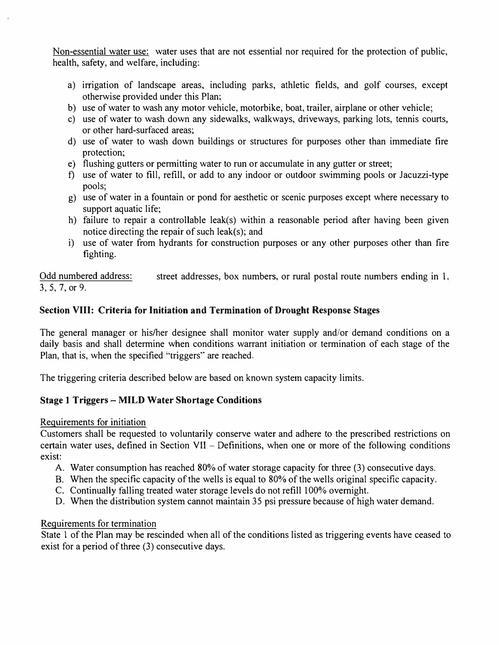Non-essential water use: water uses that are not essential nor required for the protection of public, health, safety, and welfare, including:

- a) irrigation of landscape areas, including parks, athletic fields, and golf courses, except otherwise provided under this Plan;
- b) use of water to wash any motor vehicle, motorbike, boat, trailer, airplane or other vehicle;
- c) use of water to wash down any sidewalks, walkways, driveways, parking lots, tennis courts, or other hard-surfaced areas;
- d) use of water to wash down buildings or structures for purposes other than immediate fire protection;
- e) flushing gutters or permitting water to run or accumulate in any gutter or street;
- f) use of water to fill, refill, or add to any indoor or outdoor swimming pools or Jacuzzi-type pools;
- g) use of water in a fountain or pond for aesthetic or scenic purposes except where necessary to support aquatic life;
- h) failure to repair a controllable leak(s) within a reasonable period after having been given notice directing the repair of such leak(s); and
- i) use of water from hydrants for construction purposes or any other purposes other than fire fighting.

Odd numbered address: 3,5, 7,or9. street addresses, box numbers, or rural postal route numbers ending in 1,

# **Section VIII: Criteria for Initiation and Termination of Drought Response Stages**

The general manager or his/her designee shall monitor water supply and/or demand conditions on a daily basis and shall determine when conditions warrant initiation or termination of each stage of the Plan, that is, when the specified "triggers" are reached.

The triggering criteria described below are based on known system capacity limits.

# **Stage 1 Triggers - MILD Water Shortage Conditions**

## Requirements for initiation

Customers shall be requested to voluntarily conserve water and adhere to the prescribed restrictions on certain water uses, defined in Section VII - Definitions, when one or more of the following conditions exist:

- A. Water consumption has reached 80% of water storage capacity for three (3) consecutive days.
- B. When the specific capacity of the wells is equal to 80% of the wells original specific capacity.
- C. Continually falling treated water storage levels do not refill 100% overnight.
- D. When the distribution system cannot maintain 35 psi pressure because of high water demand.

# Requirements for termination

State 1 of the Plan may be rescinded when all of the conditions listed as triggering events have ceased to exist for a period of three (3) consecutive days.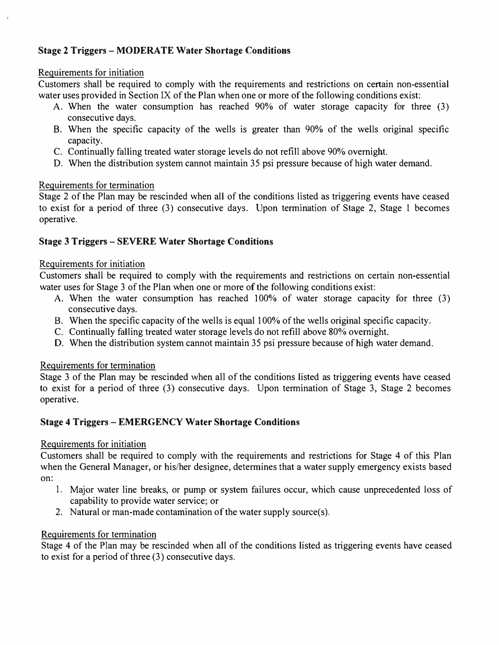# **Stage 2 Triggers-MODERATE Water Shortage Conditions**

#### Requirements for initiation

Customers shall be required to comply with the requirements and restrictions on certain non-essential water uses provided in Section IX of the Plan when one or more of the following conditions exist:

- A. When the water consumption has reached 90% of water storage capacity for three (3) consecutive days.
- B. When the specific capacity of the wells is greater than 90% of the wells original specific capacity.
- C. Continually falling treated water storage levels do not refill above 90% overnight.
- D. When the distribution system cannot maintain 35 psi pressure because of high water demand.

## Requirements for termination

Stage 2 of the Plan may be rescinded when all of the conditions listed as triggering events have ceased to exist for a period of three (3) consecutive days. Upon termination of Stage 2, Stage 1 becomes operative.

## **Stage 3 Triggers-SEVERE Water Shortage Conditions**

## Requirements for initiation

Customers shall be required to comply with the requirements and restrictions on certain non-essential water uses for Stage 3 of the Plan when one or more of the following conditions exist:

- A. When the water consumption has reached 100% of water storage capacity for three (3) consecutive days.
- B. When the specific capacity of the wells is equal 100% of the wells original specific capacity.
- C. Continually falling treated water storage levels do not refill above 80% overnight.
- D. When the distribution system cannot maintain 35 psi pressure because of high water demand.

## Requirements for termination

Stage 3 of the Plan may be rescinded when all of the conditions listed as triggering events have ceased to exist for a period of three (3) consecutive days. Upon termination of Stage 3, Stage 2 becomes operative.

## **Stage 4 Triggers-EMERGENCY Water Shortage Conditions**

## Requirements for initiation

Customers shall be required to comply with the requirements and restrictions for Stage 4 of this Plan when the General Manager, or his/her designee, determines that a water supply emergency exists based on:

- 1. Major water line breaks, or pump or system failures occur, which cause unprecedented loss of capability to provide water service; or
- 2. Natural or man-made contamination of the water supply source(s).

## Requirements for termination

Stage 4 of the Plan may be rescinded when all of the conditions listed as triggering events have ceased to exist for a period of three (3) consecutive days.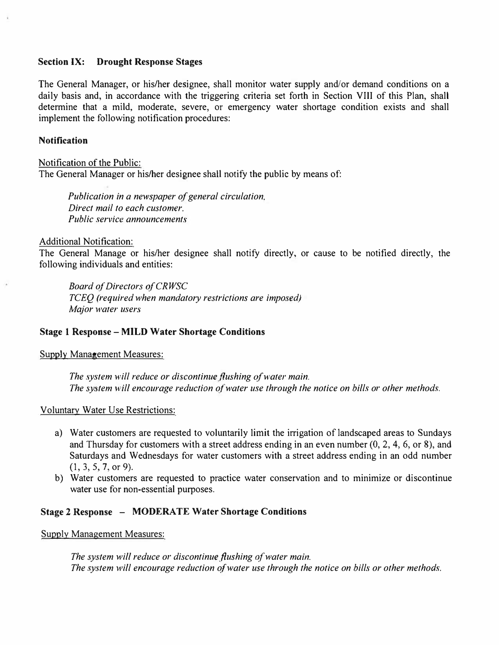#### **Section IX: Drought Response Stages**

The General Manager, or his/her designee, shall monitor water supply and/or demand conditions on a daily basis and, in accordance with the triggering criteria set forth in Section VIII of this Plan, shall determine that a mild, moderate, severe, or emergency water shortage condition exists and shall implement the following notification procedures:

#### **Notification**

Notification of the Public: The General Manager or his/her designee shall notify the public by means of:

*Publication in a newspaper of general circulation. Direct mail to each customer, Public service announcements* 

#### Additional Notification:

The General Manage or his/her designee shall notify directly. or cause to be notified directly, the following individuals and entities:

*Board of Directors of CRWSC*  . . *TCEQ (required when mandatory restrictions are imposed) Major water users* 

#### **Stage 1 Response- MILD Water Shortage Conditions**

Supply Management Measures:

*The system will reduce or discontinue flushing of water main. The system will encourage reduction of water use through the notice on bills or olher methods.* 

#### Voluntary Water Use Restrictions:

- a) Water customers are requested to voluntarily limit the irrigation of landscaped areas to Sundays and Thursday for customers with a street address ending in an even number (0, 2, 4, 6, or 8), and Saturdays and Wednesdays for water customers with a street address ending in an odd number (1, 3, 5, 7, or 9).
- b) Water customers are requested to practice water conservation and to minimize or discontinue water use for non-essential purposes.

#### **Stage 2 Response** - **MODERATE Water Shortage Conditions**

Supply Management Measures:

*The system will reduce or discontinue flushing of water main. The system will encourage reduction of water use through the notice on bills or other method<;.*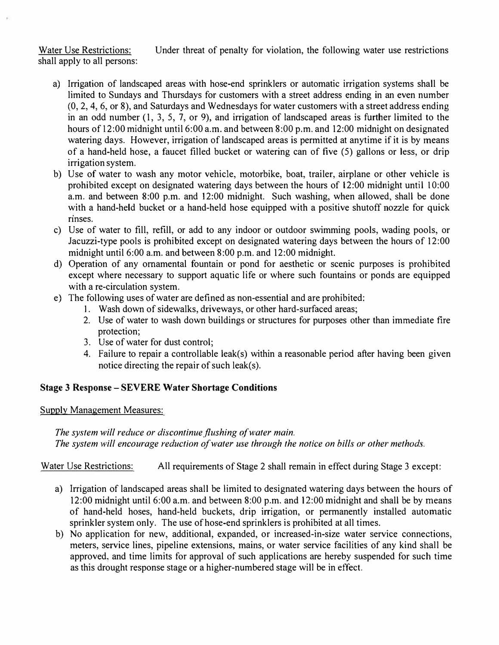Water Use Restrictions: shall apply to all persons: Under threat of penalty for violation, the following water use restrictions

- a) Irrigation of landscaped areas with hose-end sprinklers or automatic irrigation systems shall be limited to Sundays and Thursdays for customers with a street address ending in an even number (0, 2, 4, 6, or 8), and Saturdays and Wednesdays for water customers with a street address ending in an odd number (1, 3, 5, 7, or 9), and irrigation of landscaped areas is further limited to the hours of 12:00 midnight until 6:00 a.m. and between 8:00 p.m. and 12:00 midnight on designated watering days. However, irrigation of landscaped areas is permitted at anytime if it is by means of a hand-held hose, a faucet filled bucket or watering can of five (5) gallons or less, or drip irrigation system.
- b) Use of water to wash any motor vehicle, motorbike, boat, trailer, airplane or other vehicle is prohibited except on designated watering days between the hours of 12 :00 midnight until 10:00 a.m. and between 8:00 p.m. and 12:00 midnight. Such washing, when allowed, shall be done with a hand-held bucket or a hand-held hose equipped with a positive shutoff nozzle for quick rinses.
- c) Use of water to fill, refill, or add to any indoor or outdoor swimming pools, wading pools, or Jacuzzi-type pools is prohibited except on designated watering days between the hours of 12:00 midnight until 6:00 a.m. and between 8:00 p.m. and 12:00 midnight.
- d) Operation of any ornamental fountain or pond for aesthetic or scenic purposes is prohibited except where necessary to support aquatic life or where such fountains or ponds are equipped with a re-circulation system.
- e) The following uses of water are defined as non-essential and are prohibited:
	- 1. Wash down of sidewalks, driveways, or other hard-surfaced areas;
	- 2. Use of water to wash down buildings or structures for purposes other than immediate fire protection;
	- 3. Use of water for dust control;
	- 4. Failure to repair a controllable leak(s) within a reasonable period after having been given notice directing the repair of such leak(s).

# **Stage 3 Response - SEVERE Water Shortage Conditions**

## Supply Management Measures:

*The system will reduce or discontinue.flushing of water main. The system will encourage reduction of water use through the notice on bills or other methods.* 

Water Use Restrictions: All requirements of Stage 2 shall remain in effect during Stage 3 except:

- a) Irrigation of landscaped areas shall be limited to designated watering days between the hours of 12:00 midnight until 6:00 a.m. and between 8:00 p.m. and 12:00 midnight and shall be by means of hand-held hoses, hand-held buckets, drip irrigation, or permanently installed automatic sprinkler system only. The use of hose-end sprinklers is prohibited at all times.
- b) No application for new, additional, expanded, or increased-in-size water service connections, meters, service lines, pipeline extensions, mains, or water service facilities of any kind shall be approved. and time limits for approval of such applications are hereby suspended for such time as this drought response stage or a higher-numbered stage will be in effect.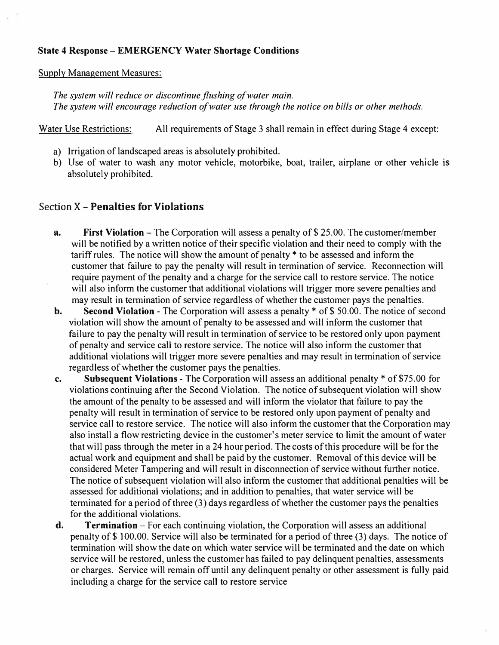## **State 4 Response - EMERGENCY Water Shortage Conditions**

#### Supply Management Measures:

*The system will reduce or discontinue flushing o\_f water main. The system will encourage reduction of water use through the notice on bills or other methods.* 

Water Use Restrictions: All requirements of Stage 3 shall remain in effect during Stage 4 except:

- a) Irrigation of landscaped areas is absolutely prohibited.
- b) Use of water to wash any motor vehicle, motorbike, boat, trailer, airplane or other vehicle is absolutely prohibited.

## Section X - **Penalties for Violations**

- **a. First Violation** The Corporation will assess a penalty of \$25.00. The customer/member will be notified by a written notice of their specific violation and their need to comply with the tariff rules. The notice will show the amount of penalty \* to be assessed and inform the customer that failure to pay the penalty will result in termination of service. Reconnection will require payment of the penalty and a charge for the service call to restore service. The notice will also inform the customer that additional violations will trigger more severe penalties and may result in termination of service regardless of whether the customer pays the penalties.
- **b. Second Violation** The Corporation will assess a penalty  $*$  of \$50.00. The notice of second violation will show the amount of penalty to be assessed and will inform the customer that failure to pay the penalty will result in termination of service to be restored only upon payment of penalty and service call to restore service. The notice will also inform the customer that additional violations will trigger more severe penalties and may result in termination of service regardless of whether the customer pays the penalties.
- **c. Subsequent Violations**  The Corporation will assess an additional penalty\* of \$75.00 for violations continuing after the Second Violation. The notice of subsequent violation will show the amount of the penalty to be assessed and will inform the violator that failure to pay the penalty will result in termination of service to be restored only upon payment of penalty and service call to restore service. The notice will also inform the customer that the Corporation may also install a flow restricting device in the customer's meter service to limit the amount of water that will pass through the meter in a 24 hour period. The costs of this procedure will be for the actual work and equipment and shall be paid by the customer. Removal of this device will be considered Meter Tampering and will result in disconnection of service without further notice. The notice of subsequent violation will also inform the customer that additional penalties will be assessed for additional violations; and in addition to penalties, that water service will be terminated for a period of three (3) days regardless of whether the customer pays the penalties for the additional violations.
- **d. Termination** For each continuing violation, the Corporation will assess an additional penalty of\$ 100.00. Service will also be terminated for a period of three (3) days. The notice of termination will show the date on which water service will be terminated and the date on which service will be restored, unless the customer has failed to pay delinquent penalties, assessments or charges. Service will remain off until any delinquent penalty or other assessment is fully paid including a charge for the service call to restore service